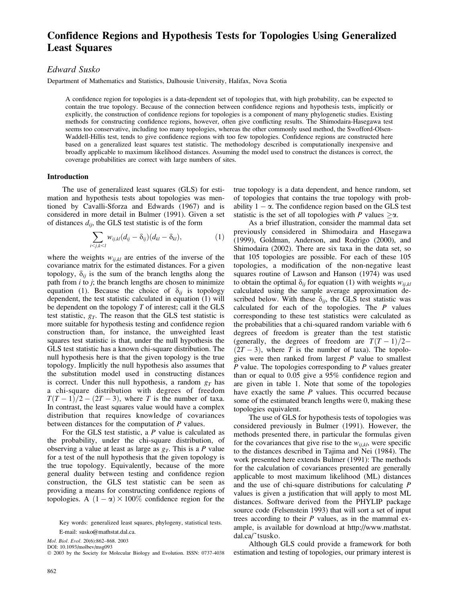# Confidence Regions and Hypothesis Tests for Topologies Using Generalized Least Squares

# Edward Susko

Department of Mathematics and Statistics, Dalhousie University, Halifax, Nova Scotia

A confidence region for topologies is a data-dependent set of topologies that, with high probability, can be expected to contain the true topology. Because of the connection between confidence regions and hypothesis tests, implicitly or explicitly, the construction of confidence regions for topologies is a component of many phylogenetic studies. Existing methods for constructing confidence regions, however, often give conflicting results. The Shimodaira-Hasegawa test seems too conservative, including too many topologies, whereas the other commonly used method, the Swofford-Olsen-Waddell-Hillis test, tends to give confidence regions with too few topologies. Confidence regions are constructed here based on a generalized least squares test statistic. The methodology described is computationally inexpensive and broadly applicable to maximum likelihood distances. Assuming the model used to construct the distances is correct, the coverage probabilities are correct with large numbers of sites.

#### Introduction

The use of generalized least squares (GLS) for estimation and hypothesis tests about topologies was mentioned by Cavalli-Sforza and Edwards (1967) and is considered in more detail in Bulmer (1991). Given a set of distances  $d_{ij}$ , the GLS test statistic is of the form

$$
\sum_{i < j,k < l} w_{ij,kl}(d_{ij} - \delta_{ij})(d_{kl} - \delta_{kl}), \tag{1}
$$

where the weights  $w_{i,j,kl}$  are entries of the inverse of the covariance matrix for the estimated distances. For a given topology,  $\delta_{ii}$  is the sum of the branch lengths along the path from  $i$  to  $j$ ; the branch lengths are chosen to minimize equation (1). Because the choice of  $\delta_{ii}$  is topology dependent, the test statistic calculated in equation (1) will be dependent on the topology  $T$  of interest; call it the GLS test statistic,  $g_T$ . The reason that the GLS test statistic is more suitable for hypothesis testing and confidence region construction than, for instance, the unweighted least squares test statistic is that, under the null hypothesis the GLS test statistic has a known chi-square distribution. The null hypothesis here is that the given topology is the true topology. Implicitly the null hypothesis also assumes that the substitution model used in constructing distances is correct. Under this null hypothesis, a random  $g<sub>T</sub>$  has a chi-square distribution with degrees of freedom  $T(T-1)/2 - (2T - 3)$ , where T is the number of taxa. In contrast, the least squares value would have a complex distribution that requires knowledge of covariances between distances for the computation of  $P$  values.

For the GLS test statistic, a  $P$  value is calculated as the probability, under the chi-square distribution, of observing a value at least as large as  $g<sub>T</sub>$ . This is a P value for a test of the null hypothesis that the given topology is the true topology. Equivalently, because of the more general duality between testing and confidence region construction, the GLS test statistic can be seen as providing a means for constructing confidence regions of topologies. A  $(1 - \alpha) \times 100\%$  confidence region for the true topology is a data dependent, and hence random, set of topologies that contains the true topology with probability  $1 - \alpha$ . The confidence region based on the GLS test statistic is the set of all topologies with P values  $\geq \alpha$ .

As a brief illustration, consider the mammal data set previously considered in Shimodaira and Hasegawa (1999), Goldman, Anderson, and Rodrigo (2000), and Shimodaira (2002). There are six taxa in the data set, so that 105 topologies are possible. For each of these 105 topologies, a modification of the non-negative least squares routine of Lawson and Hanson (1974) was used to obtain the optimal  $\delta_{ij}$  for equation (1) with weights  $w_{ij,kl}$ calculated using the sample average approximation described below. With these  $\delta_{ij}$ , the GLS test statistic was calculated for each of the topologies. The  $P$  values corresponding to these test statistics were calculated as the probabilities that a chi-squared random variable with 6 degrees of freedom is greater than the test statistic (generally, the degrees of freedom are  $T(T-1)/2 (2T - 3)$ , where T is the number of taxa). The topologies were then ranked from largest  $P$  value to smallest  $P$  value. The topologies corresponding to  $P$  values greater than or equal to 0.05 give a 95% confidence region and are given in table 1. Note that some of the topologies have exactly the same  $P$  values. This occurred because some of the estimated branch lengths were 0, making these topologies equivalent.

The use of GLS for hypothesis tests of topologies was considered previously in Bulmer (1991). However, the methods presented there, in particular the formulas given for the covariances that give rise to the  $w_{i,i,kl}$ , were specific to the distances described in Tajima and Nei (1984). The work presented here extends Bulmer (1991): The methods for the calculation of covariances presented are generally applicable to most maximum likelihood (ML) distances and the use of chi-square distributions for calculating P values is given a justification that will apply to most ML distances. Software derived from the PHYLIP package source code (Felsenstein 1993) that will sort a set of input trees according to their  $P$  values, as in the mammal example, is available for download at http://www.mathstat. dal.ca/~tsusko.

Although GLS could provide a framework for both estimation and testing of topologies, our primary interest is

Key words: generalized least squares, phylogeny, statistical tests. E-mail: susko@mathstat.dal.ca.

Mol. Biol. Evol. 20(6):862–868. 2003

DOI: 10.1093/molbev/msg093

2003 by the Society for Molecular Biology and Evolution. ISSN: 0737-4038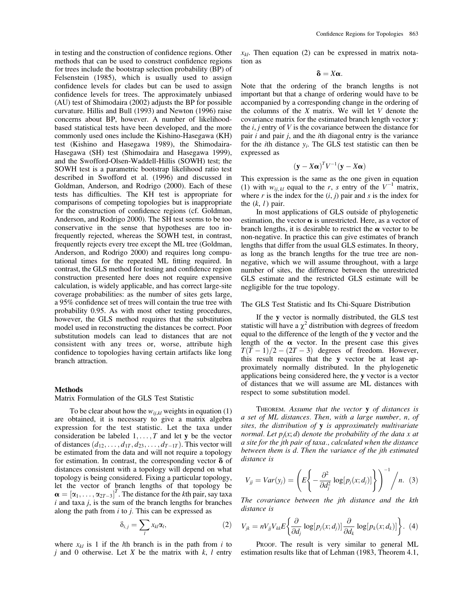in testing and the construction of confidence regions. Other methods that can be used to construct confidence regions for trees include the bootstrap selection probability (BP) of Felsenstein (1985), which is usually used to assign confidence levels for clades but can be used to assign confidence levels for trees. The approximately unbiased (AU) test of Shimodaira (2002) adjusts the BP for possible curvature. Hillis and Bull (1993) and Newton (1996) raise concerns about BP, however. A number of likelihoodbased statistical tests have been developed, and the more commonly used ones include the Kishino-Hasegawa (KH) test (Kishino and Hasegawa 1989), the Shimodaira-Hasegawa (SH) test (Shimodaira and Hasegawa 1999), and the Swofford-Olsen-Waddell-Hillis (SOWH) test; the SOWH test is a parametric bootstrap likelihood ratio test described in Swofford et al. (1996) and discussed in Goldman, Anderson, and Rodrigo (2000). Each of these tests has difficulties. The KH test is appropriate for comparisons of competing topologies but is inappropriate for the construction of confidence regions (cf. Goldman, Anderson, and Rodrigo 2000). The SH test seems to be too conservative in the sense that hypotheses are too infrequently rejected, whereas the SOWH test, in contrast, frequently rejects every tree except the ML tree (Goldman, Anderson, and Rodrigo 2000) and requires long computational times for the repeated ML fitting required. In contrast, the GLS method for testing and confidence region construction presented here does not require expensive calculation, is widely applicable, and has correct large-site coverage probabilities: as the number of sites gets large, a 95% confidence set of trees will contain the true tree with probability 0.95. As with most other testing procedures, however, the GLS method requires that the substitution model used in reconstructing the distances be correct. Poor substitution models can lead to distances that are not consistent with any trees or, worse, attribute high confidence to topologies having certain artifacts like long branch attraction.

## Methods

Matrix Formulation of the GLS Test Statistic

To be clear about how the  $w_{i,i,kl}$  weights in equation (1) are obtained, it is necessary to give a matrix algebra expression for the test statistic. Let the taxa under consideration be labeled  $1, \ldots, T$  and let y be the vector of distances  $(d_{12}, \ldots, d_{1T}, d_{23}, \ldots, d_{T-1T})$ . This vector will be estimated from the data and will not require a topology for estimation. In contrast, the corresponding vector  $\delta$  of distances consistent with a topology will depend on what topology is being considered. Fixing a particular topology, let the vector of branch lengths of that topology be  $\boldsymbol{\alpha} = [\alpha_1, \dots, \alpha_{2T-3}]^T$ . The distance for the kth pair, say taxa  $i$  and taxa  $j$ , is the sum of the branch lengths for branches along the path from  $i$  to  $j$ . This can be expressed as

$$
\delta_{i,j} = \sum_l x_{kl} \alpha_l, \tag{2}
$$

where  $x_{kl}$  is 1 if the *l*th branch is in the path from *i* to j and 0 otherwise. Let  $X$  be the matrix with  $k$ ,  $l$  entry  $x_{kl}$ . Then equation (2) can be expressed in matrix notation as

$$
\delta=X\alpha.
$$

Note that the ordering of the branch lengths is not important but that a change of ordering would have to be accompanied by a corresponding change in the ordering of the columns of the  $X$  matrix. We will let  $V$  denote the covariance matrix for the estimated branch length vector y: the  $i, j$  entry of  $V$  is the covariance between the distance for pair i and pair j, and the ith diagonal entry is the variance for the *i*th distance  $y_i$ . The GLS test statistic can then be expressed as

$$
(\mathbf{y} - X\boldsymbol{\alpha})^T V^{-1}(\mathbf{y} - X\boldsymbol{\alpha})
$$

This expression is the same as the one given in equation (1) with  $w_{ij, kl}$  equal to the r, s entry of the  $V^{-1}$  matrix, where r is the index for the  $(i, j)$  pair and s is the index for the  $(k, l)$  pair.

In most applications of GLS outside of phylogenetic estimation, the vector  $\alpha$  is unrestricted. Here, as a vector of branch lengths, it is desirable to restrict the  $\alpha$  vector to be non-negative. In practice this can give estimates of branch lengths that differ from the usual GLS estimates. In theory, as long as the branch lengths for the true tree are nonnegative, which we will assume throughout, with a large number of sites, the difference between the unrestricted GLS estimate and the restricted GLS estimate will be negligible for the true topology.

#### The GLS Test Statistic and Its Chi-Square Distribution

If the y vector is normally distributed, the GLS test statistic will have a  $\chi^2$  distribution with degrees of freedom equal to the difference of the length of the y vector and the length of the  $\alpha$  vector. In the present case this gives  $T(T-1)/2 - (2T - 3)$  degrees of freedom. However, this result requires that the y vector be at least approximately normally distributed. In the phylogenetic applications being considered here, the y vector is a vector of distances that we will assume are ML distances with respect to some substitution model.

THEOREM. Assume that the vector y of distances is a set of ML distances. Then, with a large number, n, of sites, the distribution of  $y$  is approximately multivariate normal. Let  $p_i(x; d)$  denote the probability of the data x at a site for the jth pair of taxa., calculated when the distance between them is d. Then the variance of the jth estimated distance is

$$
V_{jj} = Var(y_j) = \left( E \left\{ -\frac{\partial^2}{\partial d_j^2} \log[p_j(x; d_j)] \right\} \right)^{-1} / n. \tag{3}
$$

The covariance between the jth distance and the kth distance is

$$
V_{jk} = nV_{jj}V_{kk}E\bigg\{\frac{\partial}{\partial d_j}\log[p_j(x; d_j)]\frac{\partial}{\partial d_k}\log[p_k(x; d_k)]\bigg\}.
$$
 (4)

PROOF. The result is very similar to general ML estimation results like that of Lehman (1983, Theorem 4.1,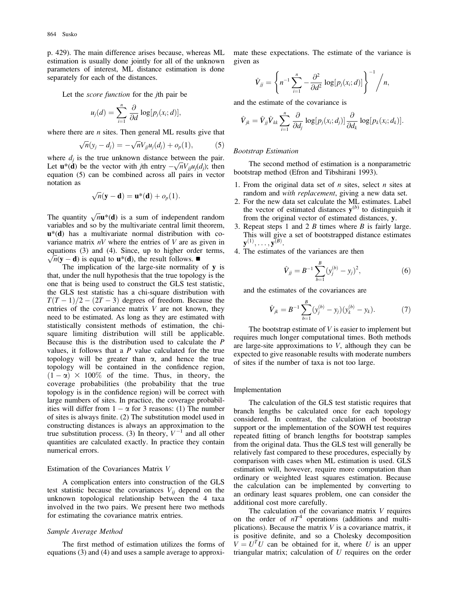p. 429). The main difference arises because, whereas ML estimation is usually done jointly for all of the unknown parameters of interest, ML distance estimation is done separately for each of the distances.

Let the *score function* for the *j*th pair be

$$
u_j(d) = \sum_{i=1}^n \frac{\partial}{\partial d} \log[p_j(x_i; d)],
$$

where there are  $n$  sites. Then general ML results give that

$$
\sqrt{n}(y_j - d_j) = -\sqrt{n}V_{jj}u_j(d_j) + o_p(1),
$$
 (5)

where  $d_i$  is the true unknown distance between the pair. where  $a_j$  is the true unknown distance between the pair.<br>Let  $\mathbf{u}^*(\mathbf{d})$  be the vector with *j*th entry  $-\sqrt{n}V_{ij}u_j(d_j)$ ; then equation (5) can be combined across all pairs in vector notation as

$$
\sqrt{n}(\mathbf{y}-\mathbf{d})=\mathbf{u}^*(\mathbf{d})+o_p(1).
$$

The quantity  $\sqrt{n}$ **u**\*(**d**) is a sum of independent random variables and so by the multivariate central limit theorem,  $u^*(d)$  has a multivariate normal distribution with covariance matrix  $nV$  where the entries of V are as given in equations  $(3)$  and  $(4)$ . Since, up to higher order terms,  $\sqrt{n}$ (y – d) is equal to **u**<sup>\*</sup>(d), the result follows.  $\blacksquare$ 

The implication of the large-site normality of y is that, under the null hypothesis that the true topology is the one that is being used to construct the GLS test statistic, the GLS test statistic has a chi-square distribution with  $T(T-1)/2 - (2T - 3)$  degrees of freedom. Because the entries of the covariance matrix  $V$  are not known, they need to be estimated. As long as they are estimated with statistically consistent methods of estimation, the chisquare limiting distribution will still be applicable. Because this is the distribution used to calculate the P values, it follows that a  $P$  value calculated for the true topology will be greater than  $\alpha$ , and hence the true topology will be contained in the confidence region,  $(1 - \alpha) \times 100\%$  of the time. Thus, in theory, the coverage probabilities (the probability that the true topology is in the confidence region) will be correct with large numbers of sites. In practice, the coverage probabilities will differ from  $1 - \alpha$  for 3 reasons: (1) The number of sites is always finite. (2) The substitution model used in constructing distances is always an approximation to the true substitution process. (3) In theory,  $V^{-1}$  and all other quantities are calculated exactly. In practice they contain numerical errors.

#### Estimation of the Covariances Matrix V

A complication enters into construction of the GLS test statistic because the covariances  $V_{ij}$  depend on the unknown topological relationship between the 4 taxa involved in the two pairs. We present here two methods for estimating the covariance matrix entries.

#### Sample Average Method

The first method of estimation utilizes the forms of equations (3) and (4) and uses a sample average to approximate these expectations. The estimate of the variance is given as

$$
\hat{V}_{jj} = \left\{ n^{-1} \sum_{i=1}^n -\frac{\partial^2}{\partial d^2} \log[p_j(x_i; d)] \right\}^{-1} / n,
$$

and the estimate of the covariance is

$$
\hat{V}_{jk} = \hat{V}_{jj}\hat{V}_{kk}\sum_{i=1}^n\frac{\partial}{\partial d_j}\log[p_j(x_i;d_j)]\frac{\partial}{\partial d_k}\log[p_k(x_i;d_k)].
$$

#### Bootstrap Estimation

The second method of estimation is a nonparametric bootstrap method (Efron and Tibshirani 1993).

- 1. From the original data set of  $n$  sites, select  $n$  sites at random and *with replacement*, giving a new data set.
- 2. For the new data set calculate the ML estimates. Label the vector of estimated distances  $y^{(b)}$  to distinguish it from the original vector of estimated distances, y.
- 3. Repeat steps 1 and 2 B times where B is fairly large. This will give a set of bootstrapped distance estimates  $\mathbf{y}^{(1)},\ldots,\mathbf{y}^{(B)}.$
- 4. The estimates of the variances are then

$$
\hat{V}_{jj} = B^{-1} \sum_{b=1}^{B} (y_j^{(b)} - y_j)^2, \tag{6}
$$

and the estimates of the covariances are

$$
\hat{V}_{jk} = B^{-1} \sum_{b=1}^{B} (y_j^{(b)} - y_j)(y_k^{(b)} - y_k). \tag{7}
$$

The bootstrap estimate of  $V$  is easier to implement but requires much longer computational times. Both methods are large-site approximations to  $V$ , although they can be expected to give reasonable results with moderate numbers of sites if the number of taxa is not too large.

#### Implementation

The calculation of the GLS test statistic requires that branch lengths be calculated once for each topology considered. In contrast, the calculation of bootstrap support or the implementation of the SOWH test requires repeated fitting of branch lengths for bootstrap samples from the original data. Thus the GLS test will generally be relatively fast compared to these procedures, especially by comparison with cases when ML estimation is used. GLS estimation will, however, require more computation than ordinary or weighted least squares estimation. Because the calculation can be implemented by converting to an ordinary least squares problem, one can consider the additional cost more carefully.

The calculation of the covariance matrix V requires on the order of  $nT<sup>4</sup>$  operations (additions and multiplications). Because the matrix  $V$  is a covariance matrix, it is positive definite, and so a Cholesky decomposition  $V = U<sup>T</sup>U$  can be obtained for it, where U is an upper triangular matrix; calculation of  $U$  requires on the order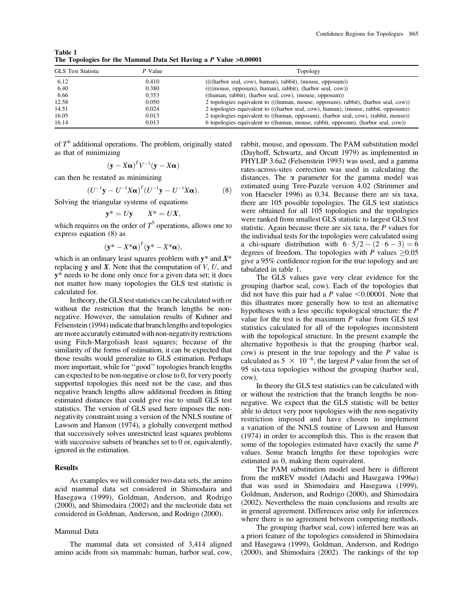| <b>GLS</b> Test Statistic<br>P Value |       | Topology                                                                                             |  |
|--------------------------------------|-------|------------------------------------------------------------------------------------------------------|--|
| 6.12                                 | 0.410 | $(((\text{harbor seal}, \text{cow}), \text{human}), \text{rabbit}), (\text{mouse}, \text{opposum}))$ |  |
| 6.40                                 | 0.380 | $((($ (( $(($ mouse, opposum), human), rabbit), $(harbor$ seal, $cow)$ )                             |  |
| 6.66                                 | 0.353 | $((human, rabbit), (harbor seal, cow), (mouse, opposum))$                                            |  |
| 12.58                                | 0.050 | 2 topologies equivalent to (((human, mouse, opposum), rabbit), (harbor seal, cow))                   |  |
| 14.51                                | 0.024 | 2 topologies equivalent to (((harbor seal, cow), human), (mouse, rabbit, opposum))                   |  |
| 16.05                                | 0.013 | 2 topologies equivalent to ((human, opposum), (harbor seal, cow), (rabbit, mouse))                   |  |
| 16.14                                | 0.013 | 6 topologies equivalent to ((human, mouse, rabbit, opposum), (harbor seal, cow))                     |  |

Table 1 The Topologies for the Mammal Data Set Having a P Value >0.00001

of  $T<sup>6</sup>$  additional operations. The problem, originally stated as that of minimizing

$$
(\mathbf{y} - X\boldsymbol{\alpha})^T V^{-1}(\mathbf{y} - X\boldsymbol{\alpha})
$$

can then be restated as minimizing

$$
(U^{-1}\mathbf{y} - U^{-1}X\alpha)^{T}(U^{-1}\mathbf{y} - U^{-1}X\alpha).
$$
 (8)

Solving the triangular systems of equations

$$
\mathbf{y}^* = U\mathbf{y} \qquad X^* = U X,
$$

which requires on the order of  $T^5$  operations, allows one to express equation (8) as

$$
(\mathbf{y}^* - X^*\boldsymbol{\alpha})^T(\mathbf{y}^* - X^*\boldsymbol{\alpha}),
$$

which is an ordinary least squares problem with  $y^*$  and  $X^*$ replacing  $y$  and  $X$ . Note that the computation of  $V$ ,  $U$ , and y\* needs to be done only once for a given data set; it does not matter how many topologies the GLS test statistic is calculated for.

Intheory, the GLS test statistics can be calculated with or without the restriction that the branch lengths be nonnegative. However, the simulation results of Kuhner and Felsenstein (1994) indicate that branch lengths and topologies are more accurately estimated with non-negativity restrictions using Fitch-Margoliash least squares; because of the similarity of the forms of estimation, it can be expected that those results would generalize to GLS estimation. Perhaps more important, while for ''good'' topologies branch lengths can expected to be non-negative or close to 0, for very poorly supported topologies this need not be the case, and thus negative branch lengths allow additional freedom in fitting estimated distances that could give rise to small GLS test statistics. The version of GLS used here imposes the nonnegativity constraint using a version of the NNLS routine of Lawson and Hanson (1974), a globally convergent method that successively solves unrestricted least squares problems with successive subsets of branches set to 0 or, equivalently, ignored in the estimation.

### **Results**

As examples we will consider two data sets, the amino acid mammal data set considered in Shimodaira and Hasegawa (1999), Goldman, Anderson, and Rodrigo (2000), and Shimodaira (2002) and the nucleotide data set considered in Goldman, Anderson, and Rodrigo (2000).

#### Mammal Data

The mammal data set consisted of 3,414 aligned amino acids from six mammals: human, harbor seal, cow, rabbit, mouse, and opossum. The PAM substitution model (Dayhoff, Schwartz, and Orcutt 1979) as implemented in PHYLIP 3.6a2 (Felsenstein 1993) was used, and a gamma rates-across-sites correction was used in calculating the distances. The  $\alpha$  parameter for the gamma model was estimated using Tree-Puzzle version 4.02 (Strimmer and von Haeseler 1996) as 0.34. Because there are six taxa, there are 105 possible topologies. The GLS test statistics were obtained for all 105 topologies and the topologies were ranked from smallest GLS statistic to largest GLS test statistic. Again because there are six taxa, the P values for the individual tests for the topologies were calculated using a chi-square distribution with  $6 \cdot 5/2 - (2 \cdot 6 - 3) = 6$ degrees of freedom. The topologies with P values  $\geq 0.05$ give a 95% confidence region for the true topology and are tabulated in table 1.

The GLS values gave very clear evidence for the grouping (harbor seal, cow). Each of the topologies that did not have this pair had a P value  $< 0.00001$ . Note that this illustrates more generally how to test an alternative hypotheses with a less specific topological structure: the P value for the test is the maximum  $P$  value from GLS test statistics calculated for all of the topologies inconsistent with the topological structure. In the present example the alternative hypothesis is that the grouping (harbor seal, cow) is present in the true topology and the  $P$  value is calculated as  $5 \times 10^{-6}$ , the largest P value from the set of 95 six-taxa topologies without the grouping (harbor seal, cow).

In theory the GLS test statistics can be calculated with or without the restriction that the branch lengths be nonnegative. We expect that the GLS statistic will be better able to detect very poor topologies with the non-negativity restriction imposed and have chosen to implement a variation of the NNLS routine of Lawson and Hanson (1974) in order to accomplish this. This is the reason that some of the topologies estimated have exactly the same P values. Some branch lengths for these topologies were estimated as 0, making them equivalent.

The PAM substitution model used here is different from the mtREV model (Adachi and Hasegawa 1996a) that was used in Shimodaira and Hasegawa (1999), Goldman, Anderson, and Rodrigo (2000), and Shimodaira (2002). Nevertheless the main conclusions and results are in general agreement. Differences arise only for inferences where there is no agreement between competing methods.

The grouping (harbor seal, cow) inferred here was an a priori feature of the topologies considered in Shimodaira and Hasegawa (1999), Goldman, Anderson, and Rodrigo (2000), and Shimodaira (2002). The rankings of the top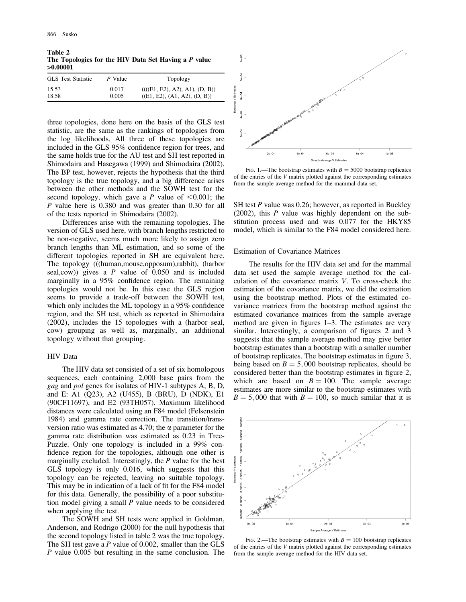Table 2 The Topologies for the HIV Data Set Having a P value >0.00001

| <b>GLS</b> Test Statistic | P Value | Topology                      |
|---------------------------|---------|-------------------------------|
| 15.53                     | 0.017   | (((E1, E2), A2), A1), (D, B)) |
| 18.58                     | 0.005   | ((E1, E2), (A1, A2), (D, B))  |

three topologies, done here on the basis of the GLS test statistic, are the same as the rankings of topologies from the log likelihoods. All three of these topologies are included in the GLS 95% confidence region for trees, and the same holds true for the AU test and SH test reported in Shimodaira and Hasegawa (1999) and Shimodaira (2002). The BP test, however, rejects the hypothesis that the third topology is the true topology, and a big difference arises between the other methods and the SOWH test for the second topology, which gave a P value of  $\leq 0.001$ ; the P value here is 0.380 and was greater than 0.30 for all of the tests reported in Shimodaira (2002).

Differences arise with the remaining topologies. The version of GLS used here, with branch lengths restricted to be non-negative, seems much more likely to assign zero branch lengths than ML estimation, and so some of the different topologies reported in SH are equivalent here. The topology (((human,mouse,opposum),rabbit), (harbor seal,  $cow$ ) gives a P value of 0.050 and is included marginally in a 95% confidence region. The remaining topologies would not be. In this case the GLS region seems to provide a trade-off between the SOWH test, which only includes the ML topology in a 95% confidence region, and the SH test, which as reported in Shimodaira (2002), includes the 15 topologies with a (harbor seal, cow) grouping as well as, marginally, an additional topology without that grouping.

#### HIV Data

The HIV data set consisted of a set of six homologous sequences, each containing 2,000 base pairs from the gag and pol genes for isolates of HIV-1 subtypes A, B, D, and E: A1 (Q23), A2 (U455), B (BRU), D (NDK), E1 (90CF11697), and E2 (93TH057). Maximum likelihood distances were calculated using an F84 model (Felsenstein 1984) and gamma rate correction. The transition/transversion ratio was estimated as 4.70; the  $\alpha$  parameter for the gamma rate distribution was estimated as 0.23 in Tree-Puzzle. Only one topology is included in a 99% confidence region for the topologies, although one other is marginally excluded. Interestingly, the P value for the best GLS topology is only 0.016, which suggests that this topology can be rejected, leaving no suitable topology. This may be in indication of a lack of fit for the F84 model for this data. Generally, the possibility of a poor substitution model giving a small P value needs to be considered when applying the test.

The SOWH and SH tests were applied in Goldman, Anderson, and Rodrigo (2000) for the null hypothesis that the second topology listed in table 2 was the true topology. The SH test gave a P value of 0.002, smaller than the GLS P value 0.005 but resulting in the same conclusion. The



FIG. 1.—The bootstrap estimates with  $B = 5000$  bootstrap replicates of the entries of the V matrix plotted against the corresponding estimates from the sample average method for the mammal data set.

SH test P value was 0.26; however, as reported in Buckley (2002), this  $P$  value was highly dependent on the substitution process used and was 0.077 for the HKY85 model, which is similar to the F84 model considered here.

#### Estimation of Covariance Matrices

The results for the HIV data set and for the mammal data set used the sample average method for the calculation of the covariance matrix V. To cross-check the estimation of the covariance matrix, we did the estimation using the bootstrap method. Plots of the estimated covariance matrices from the bootstrap method against the estimated covariance matrices from the sample average method are given in figures 1–3. The estimates are very similar. Interestingly, a comparison of figures 2 and 3 suggests that the sample average method may give better bootstrap estimates than a bootstrap with a smaller number of bootstrap replicates. The bootstrap estimates in figure 3, being based on  $B = 5,000$  bootstrap replicates, should be considered better than the bootstrap estimates in figure 2, which are based on  $B = 100$ . The sample average estimates are more similar to the bootstrap estimates with  $B = 5,000$  that with  $B = 100$ , so much similar that it is



FIG. 2.—The bootstrap estimates with  $B = 100$  bootstrap replicates of the entries of the V matrix plotted against the corresponding estimates from the sample average method for the HIV data set.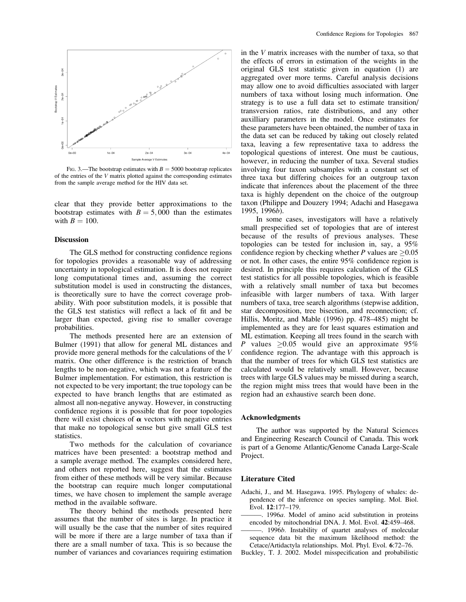

FIG. 3.—The bootstrap estimates with  $B = 5000$  bootstrap replicates of the entries of the V matrix plotted against the corresponding estimates from the sample average method for the HIV data set.

clear that they provide better approximations to the bootstrap estimates with  $B = 5,000$  than the estimates with  $B = 100$ .

#### **Discussion**

The GLS method for constructing confidence regions for topologies provides a reasonable way of addressing uncertainty in topological estimation. It is does not require long computational times and, assuming the correct substitution model is used in constructing the distances, is theoretically sure to have the correct coverage probability. With poor substitution models, it is possible that the GLS test statistics will reflect a lack of fit and be larger than expected, giving rise to smaller coverage probabilities.

The methods presented here are an extension of Bulmer (1991) that allow for general ML distances and provide more general methods for the calculations of the V matrix. One other difference is the restriction of branch lengths to be non-negative, which was not a feature of the Bulmer implementation. For estimation, this restriction is not expected to be very important; the true topology can be expected to have branch lengths that are estimated as almost all non-negative anyway. However, in constructing confidence regions it is possible that for poor topologies there will exist choices of  $\alpha$  vectors with negative entries that make no topological sense but give small GLS test statistics.

Two methods for the calculation of covariance matrices have been presented: a bootstrap method and a sample average method. The examples considered here, and others not reported here, suggest that the estimates from either of these methods will be very similar. Because the bootstrap can require much longer computational times, we have chosen to implement the sample average method in the available software.

The theory behind the methods presented here assumes that the number of sites is large. In practice it will usually be the case that the number of sites required will be more if there are a large number of taxa than if there are a small number of taxa. This is so because the number of variances and covariances requiring estimation in the  $V$  matrix increases with the number of taxa, so that the effects of errors in estimation of the weights in the original GLS test statistic given in equation (1) are aggregated over more terms. Careful analysis decisions may allow one to avoid difficulties associated with larger numbers of taxa without losing much information. One strategy is to use a full data set to estimate transition/ transversion ratios, rate distributions, and any other auxilliary parameters in the model. Once estimates for these parameters have been obtained, the number of taxa in the data set can be reduced by taking out closely related taxa, leaving a few representative taxa to address the topological questions of interest. One must be cautious, however, in reducing the number of taxa. Several studies involving four taxon subsamples with a constant set of three taxa but differing choices for an outgroup taxon indicate that inferences about the placement of the three taxa is highly dependent on the choice of the outgroup taxon (Philippe and Douzery 1994; Adachi and Hasegawa 1995, 1996b).

In some cases, investigators will have a relatively small prespecified set of topologies that are of interest because of the results of previous analyses. These topologies can be tested for inclusion in, say, a 95% confidence region by checking whether P values are  $\geq 0.05$ or not. In other cases, the entire 95% confidence region is desired. In principle this requires calculation of the GLS test statistics for all possible topologies, which is feasible with a relatively small number of taxa but becomes infeasible with larger numbers of taxa. With larger numbers of taxa, tree search algorithms (stepwise addition, star decomposition, tree bisection, and reconnection; cf. Hillis, Moritz, and Mable (1996) pp. 478–485) might be implemented as they are for least squares estimation and ML estimation. Keeping all trees found in the search with P values  $\geq 0.05$  would give an approximate 95% confidence region. The advantage with this approach is that the number of trees for which GLS test statistics are calculated would be relatively small. However, because trees with large GLS values may be missed during a search, the region might miss trees that would have been in the region had an exhaustive search been done.

#### Acknowledgments

The author was supported by the Natural Sciences and Engineering Research Council of Canada. This work is part of a Genome Atlantic/Genome Canada Large-Scale Project.

#### Literature Cited

- Adachi, J., and M. Hasegawa. 1995. Phylogeny of whales: dependence of the inference on species sampling. Mol. Biol. Evol. 12:177–179.
- ———. 1996a. Model of amino acid substitution in proteins encoded by mitochondrial DNA. J. Mol. Evol. 42:459–468.
- -. 1996*b*. Instability of quartet analyses of molecular sequence data bit the maximum likelihood method: the Cetace/Artidactyla relationships. Mol. Phyl. Evol. 6:72–76.
- Buckley, T. J. 2002. Model misspecification and probabilistic